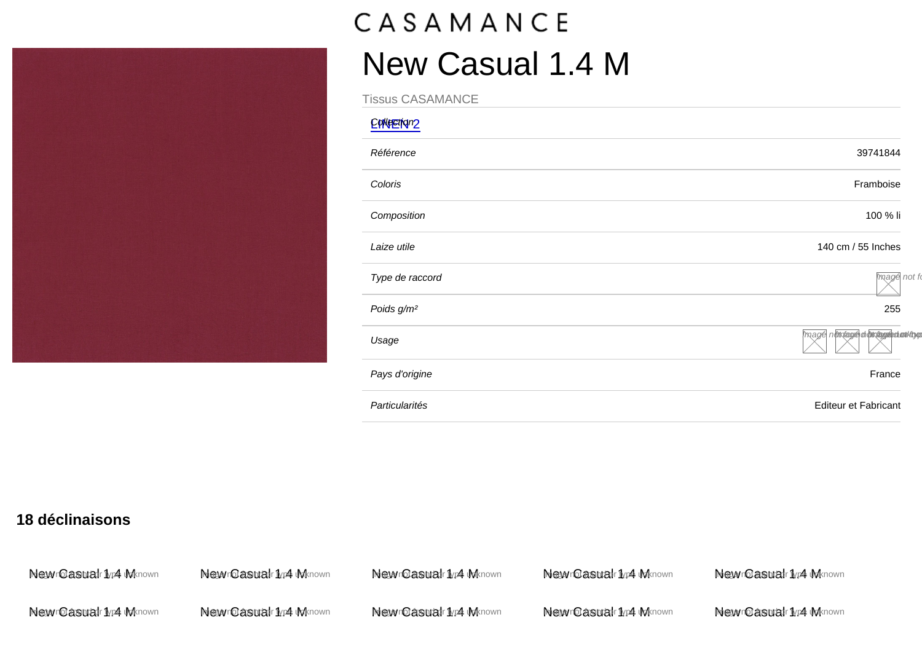## New Casual 1.4 M

Tissus CASAMANCE

| EpNeetNn2              |                                     |
|------------------------|-------------------------------------|
| Référence              | 39741844                            |
| Coloris                | Framboise                           |
| Composition            | 100 % li                            |
| Laize utile            | 140 cm / 55 Inches                  |
| Type de raccord        | Image not fo                        |
| Poids g/m <sup>2</sup> | 255                                 |
| Usage                  | mage nothtages at othtages anothing |
| Pays d'origine         | France                              |
| Particularités         | Editeur et Fabricant                |
|                        |                                     |

18 déclinaisons